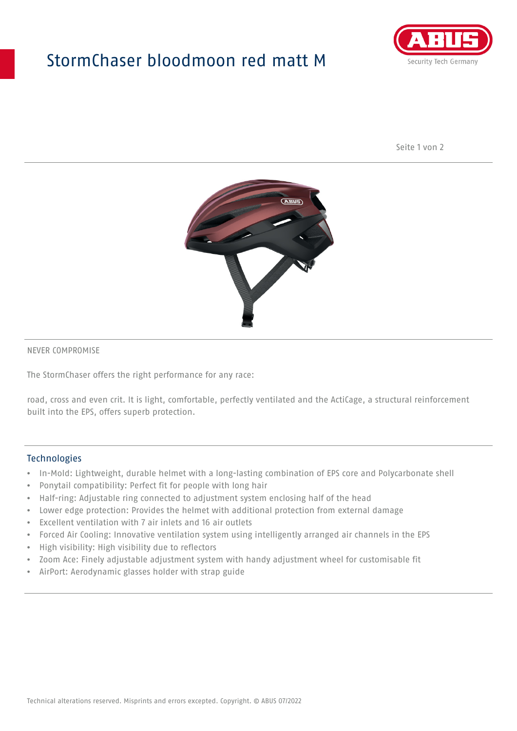## StormChaser bloodmoon red matt M



Seite 1 von 2



#### NEVER COMPROMISE

The StormChaser offers the right performance for any race:

road, cross and even crit. It is light, comfortable, perfectly ventilated and the ActiCage, a structural reinforcement built into the EPS, offers superb protection.

#### **Technologies**

- In-Mold: Lightweight, durable helmet with a long-lasting combination of EPS core and Polycarbonate shell
- Ponytail compatibility: Perfect fit for people with long hair
- Half-ring: Adjustable ring connected to adjustment system enclosing half of the head
- Lower edge protection: Provides the helmet with additional protection from external damage
- Excellent ventilation with 7 air inlets and 16 air outlets
- Forced Air Cooling: Innovative ventilation system using intelligently arranged air channels in the EPS
- High visibility: High visibility due to reflectors
- Zoom Ace: Finely adjustable adjustment system with handy adjustment wheel for customisable fit
- AirPort: Aerodynamic glasses holder with strap guide